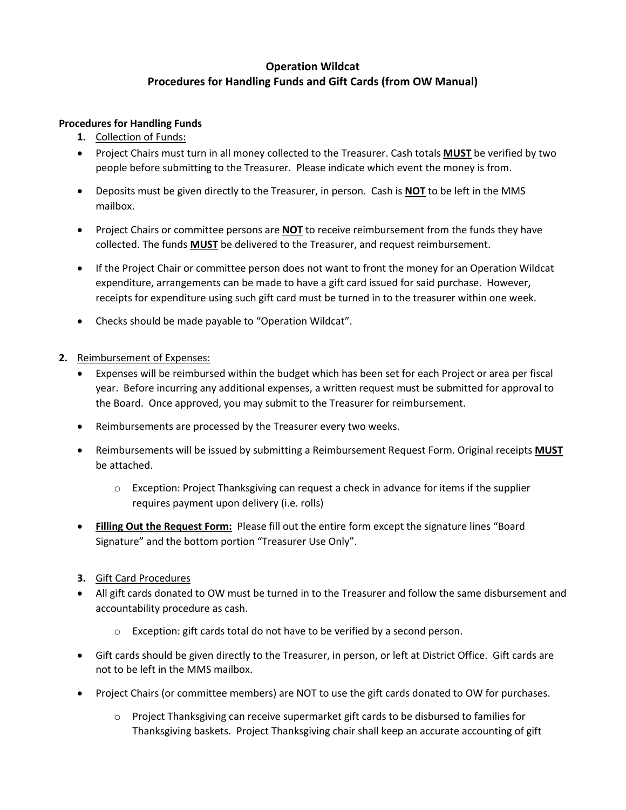## **Operation Wildcat Procedures for Handling Funds and Gift Cards (from OW Manual)**

## **Procedures for Handling Funds**

- **1.** Collection of Funds:
- Project Chairs must turn in all money collected to the Treasurer. Cash totals **MUST** be verified by two people before submitting to the Treasurer. Please indicate which event the money is from.
- Deposits must be given directly to the Treasurer, in person. Cash is **NOT** to be left in the MMS mailbox.
- Project Chairs or committee persons are **NOT** to receive reimbursement from the funds they have collected. The funds **MUST** be delivered to the Treasurer, and request reimbursement.
- If the Project Chair or committee person does not want to front the money for an Operation Wildcat expenditure, arrangements can be made to have a gift card issued for said purchase. However, receipts for expenditure using such gift card must be turned in to the treasurer within one week.
- Checks should be made payable to "Operation Wildcat".
- **2.** Reimbursement of Expenses:
	- Expenses will be reimbursed within the budget which has been set for each Project or area per fiscal year. Before incurring any additional expenses, a written request must be submitted for approval to the Board. Once approved, you may submit to the Treasurer for reimbursement.
	- Reimbursements are processed by the Treasurer every two weeks.
	- Reimbursements will be issued by submitting a Reimbursement Request Form. Original receipts **MUST** be attached.
		- o Exception: Project Thanksgiving can request a check in advance for items if the supplier requires payment upon delivery (i.e. rolls)
	- **Filling Out the Request Form:** Please fill out the entire form except the signature lines "Board Signature" and the bottom portion "Treasurer Use Only".
	- **3.** Gift Card Procedures
	- All gift cards donated to OW must be turned in to the Treasurer and follow the same disbursement and accountability procedure as cash.
		- $\circ$  Exception: gift cards total do not have to be verified by a second person.
	- Gift cards should be given directly to the Treasurer, in person, or left at District Office. Gift cards are not to be left in the MMS mailbox.
	- Project Chairs (or committee members) are NOT to use the gift cards donated to OW for purchases.
		- o Project Thanksgiving can receive supermarket gift cards to be disbursed to families for Thanksgiving baskets. Project Thanksgiving chair shall keep an accurate accounting of gift